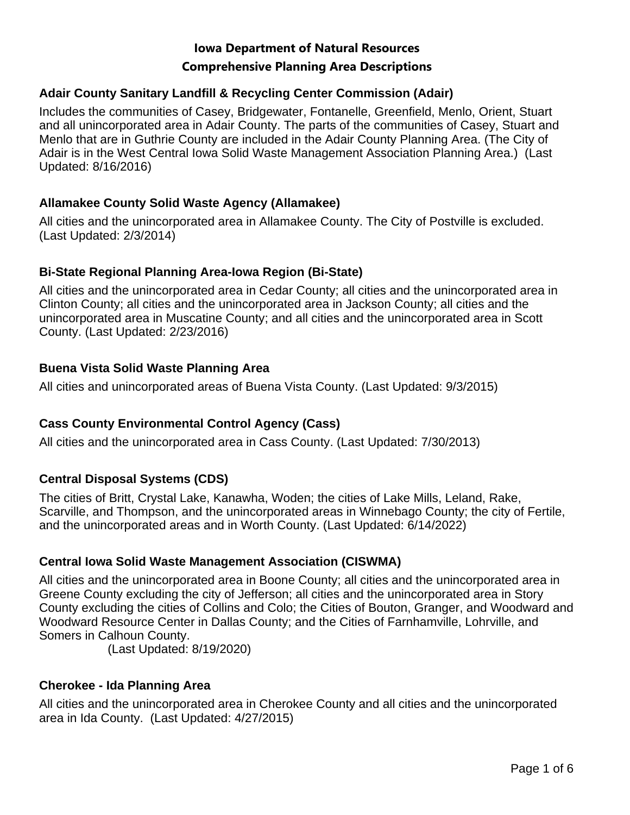# **Comprehensive Planning Area Descriptions Iowa Department of Natural Resources**

## **Adair County Sanitary Landfill & Recycling Center Commission (Adair)**

Includes the communities of Casey, Bridgewater, Fontanelle, Greenfield, Menlo, Orient, Stuart and all unincorporated area in Adair County. The parts of the communities of Casey, Stuart and Menlo that are in Guthrie County are included in the Adair County Planning Area. (The City of Adair is in the West Central Iowa Solid Waste Management Association Planning Area.) (Last Updated: 8/16/2016)

## **Allamakee County Solid Waste Agency (Allamakee)**

All cities and the unincorporated area in Allamakee County. The City of Postville is excluded. (Last Updated: 2/3/2014)

## **Bi-State Regional Planning Area-Iowa Region (Bi-State)**

All cities and the unincorporated area in Cedar County; all cities and the unincorporated area in Clinton County; all cities and the unincorporated area in Jackson County; all cities and the unincorporated area in Muscatine County; and all cities and the unincorporated area in Scott County. (Last Updated: 2/23/2016)

## **Buena Vista Solid Waste Planning Area**

All cities and unincorporated areas of Buena Vista County. (Last Updated: 9/3/2015)

# **Cass County Environmental Control Agency (Cass)**

All cities and the unincorporated area in Cass County. (Last Updated: 7/30/2013)

# **Central Disposal Systems (CDS)**

The cities of Britt, Crystal Lake, Kanawha, Woden; the cities of Lake Mills, Leland, Rake, Scarville, and Thompson, and the unincorporated areas in Winnebago County; the city of Fertile, and the unincorporated areas and in Worth County. (Last Updated: 6/14/2022)

## **Central Iowa Solid Waste Management Association (CISWMA)**

All cities and the unincorporated area in Boone County; all cities and the unincorporated area in Greene County excluding the city of Jefferson; all cities and the unincorporated area in Story County excluding the cities of Collins and Colo; the Cities of Bouton, Granger, and Woodward and Woodward Resource Center in Dallas County; and the Cities of Farnhamville, Lohrville, and Somers in Calhoun County.

(Last Updated: 8/19/2020)

## **Cherokee - Ida Planning Area**

All cities and the unincorporated area in Cherokee County and all cities and the unincorporated area in Ida County. (Last Updated: 4/27/2015)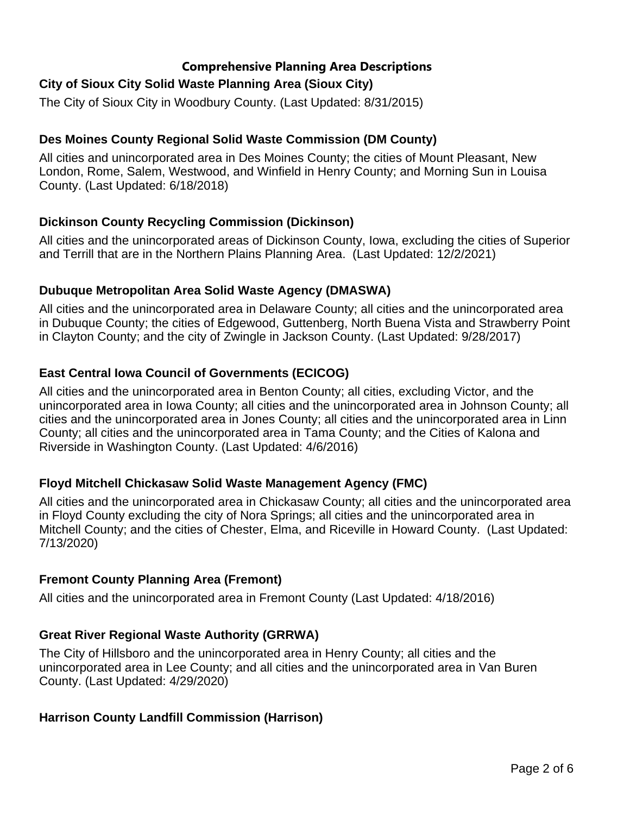# **City of Sioux City Solid Waste Planning Area (Sioux City)**

The City of Sioux City in Woodbury County. (Last Updated: 8/31/2015)

## **Des Moines County Regional Solid Waste Commission (DM County)**

All cities and unincorporated area in Des Moines County; the cities of Mount Pleasant, New London, Rome, Salem, Westwood, and Winfield in Henry County; and Morning Sun in Louisa County. (Last Updated: 6/18/2018)

## **Dickinson County Recycling Commission (Dickinson)**

All cities and the unincorporated areas of Dickinson County, Iowa, excluding the cities of Superior and Terrill that are in the Northern Plains Planning Area. (Last Updated: 12/2/2021)

## **Dubuque Metropolitan Area Solid Waste Agency (DMASWA)**

All cities and the unincorporated area in Delaware County; all cities and the unincorporated area in Dubuque County; the cities of Edgewood, Guttenberg, North Buena Vista and Strawberry Point in Clayton County; and the city of Zwingle in Jackson County. (Last Updated: 9/28/2017)

## **East Central Iowa Council of Governments (ECICOG)**

All cities and the unincorporated area in Benton County; all cities, excluding Victor, and the unincorporated area in Iowa County; all cities and the unincorporated area in Johnson County; all cities and the unincorporated area in Jones County; all cities and the unincorporated area in Linn County; all cities and the unincorporated area in Tama County; and the Cities of Kalona and Riverside in Washington County. (Last Updated: 4/6/2016)

## **Floyd Mitchell Chickasaw Solid Waste Management Agency (FMC)**

All cities and the unincorporated area in Chickasaw County; all cities and the unincorporated area in Floyd County excluding the city of Nora Springs; all cities and the unincorporated area in Mitchell County; and the cities of Chester, Elma, and Riceville in Howard County. (Last Updated: 7/13/2020)

## **Fremont County Planning Area (Fremont)**

All cities and the unincorporated area in Fremont County (Last Updated: 4/18/2016)

# **Great River Regional Waste Authority (GRRWA)**

The City of Hillsboro and the unincorporated area in Henry County; all cities and the unincorporated area in Lee County; and all cities and the unincorporated area in Van Buren County. (Last Updated: 4/29/2020)

## **Harrison County Landfill Commission (Harrison)**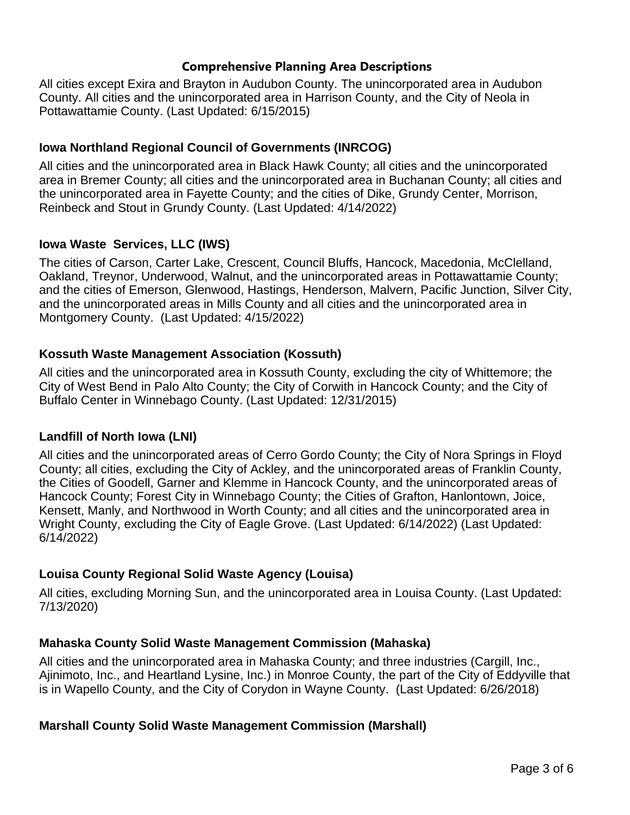All cities except Exira and Brayton in Audubon County. The unincorporated area in Audubon County. All cities and the unincorporated area in Harrison County, and the City of Neola in Pottawattamie County. (Last Updated: 6/15/2015)

## **Iowa Northland Regional Council of Governments (INRCOG)**

All cities and the unincorporated area in Black Hawk County; all cities and the unincorporated area in Bremer County; all cities and the unincorporated area in Buchanan County; all cities and the unincorporated area in Fayette County; and the cities of Dike, Grundy Center, Morrison, Reinbeck and Stout in Grundy County. (Last Updated: 4/14/2022)

## **Iowa Waste Services, LLC (IWS)**

The cities of Carson, Carter Lake, Crescent, Council Bluffs, Hancock, Macedonia, McClelland, Oakland, Treynor, Underwood, Walnut, and the unincorporated areas in Pottawattamie County; and the cities of Emerson, Glenwood, Hastings, Henderson, Malvern, Pacific Junction, Silver City, and the unincorporated areas in Mills County and all cities and the unincorporated area in Montgomery County. (Last Updated: 4/15/2022)

## **Kossuth Waste Management Association (Kossuth)**

All cities and the unincorporated area in Kossuth County, excluding the city of Whittemore; the City of West Bend in Palo Alto County; the City of Corwith in Hancock County; and the City of Buffalo Center in Winnebago County. (Last Updated: 12/31/2015)

## **Landfill of North Iowa (LNI)**

All cities and the unincorporated areas of Cerro Gordo County; the City of Nora Springs in Floyd County; all cities, excluding the City of Ackley, and the unincorporated areas of Franklin County, the Cities of Goodell, Garner and Klemme in Hancock County, and the unincorporated areas of Hancock County; Forest City in Winnebago County; the Cities of Grafton, Hanlontown, Joice, Kensett, Manly, and Northwood in Worth County; and all cities and the unincorporated area in Wright County, excluding the City of Eagle Grove. (Last Updated: 6/14/2022) (Last Updated: 6/14/2022)

# **Louisa County Regional Solid Waste Agency (Louisa)**

All cities, excluding Morning Sun, and the unincorporated area in Louisa County. (Last Updated: 7/13/2020)

## **Mahaska County Solid Waste Management Commission (Mahaska)**

All cities and the unincorporated area in Mahaska County; and three industries (Cargill, Inc., Ajinimoto, Inc., and Heartland Lysine, Inc.) in Monroe County, the part of the City of Eddyville that is in Wapello County, and the City of Corydon in Wayne County. (Last Updated: 6/26/2018)

# **Marshall County Solid Waste Management Commission (Marshall)**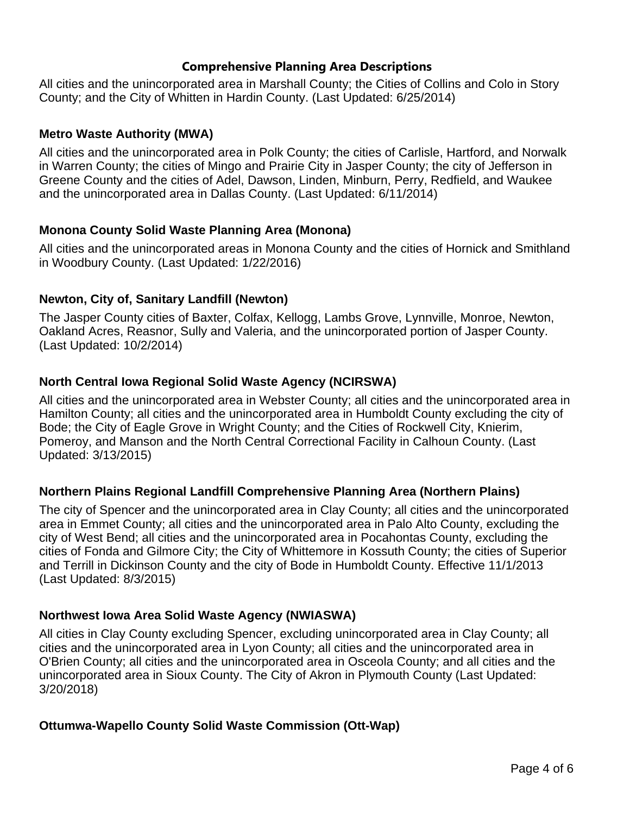All cities and the unincorporated area in Marshall County; the Cities of Collins and Colo in Story County; and the City of Whitten in Hardin County. (Last Updated: 6/25/2014)

## **Metro Waste Authority (MWA)**

All cities and the unincorporated area in Polk County; the cities of Carlisle, Hartford, and Norwalk in Warren County; the cities of Mingo and Prairie City in Jasper County; the city of Jefferson in Greene County and the cities of Adel, Dawson, Linden, Minburn, Perry, Redfield, and Waukee and the unincorporated area in Dallas County. (Last Updated: 6/11/2014)

## **Monona County Solid Waste Planning Area (Monona)**

All cities and the unincorporated areas in Monona County and the cities of Hornick and Smithland in Woodbury County. (Last Updated: 1/22/2016)

## **Newton, City of, Sanitary Landfill (Newton)**

The Jasper County cities of Baxter, Colfax, Kellogg, Lambs Grove, Lynnville, Monroe, Newton, Oakland Acres, Reasnor, Sully and Valeria, and the unincorporated portion of Jasper County. (Last Updated: 10/2/2014)

## **North Central Iowa Regional Solid Waste Agency (NCIRSWA)**

All cities and the unincorporated area in Webster County; all cities and the unincorporated area in Hamilton County; all cities and the unincorporated area in Humboldt County excluding the city of Bode; the City of Eagle Grove in Wright County; and the Cities of Rockwell City, Knierim, Pomeroy, and Manson and the North Central Correctional Facility in Calhoun County. (Last Updated: 3/13/2015)

## **Northern Plains Regional Landfill Comprehensive Planning Area (Northern Plains)**

The city of Spencer and the unincorporated area in Clay County; all cities and the unincorporated area in Emmet County; all cities and the unincorporated area in Palo Alto County, excluding the city of West Bend; all cities and the unincorporated area in Pocahontas County, excluding the cities of Fonda and Gilmore City; the City of Whittemore in Kossuth County; the cities of Superior and Terrill in Dickinson County and the city of Bode in Humboldt County. Effective 11/1/2013 (Last Updated: 8/3/2015)

## **Northwest Iowa Area Solid Waste Agency (NWIASWA)**

All cities in Clay County excluding Spencer, excluding unincorporated area in Clay County; all cities and the unincorporated area in Lyon County; all cities and the unincorporated area in O'Brien County; all cities and the unincorporated area in Osceola County; and all cities and the unincorporated area in Sioux County. The City of Akron in Plymouth County (Last Updated: 3/20/2018)

## **Ottumwa-Wapello County Solid Waste Commission (Ott-Wap)**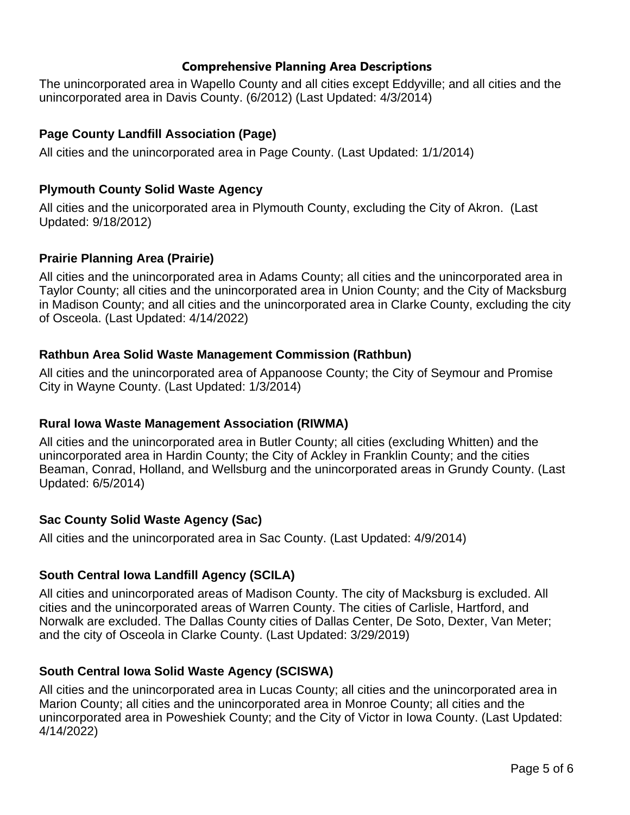The unincorporated area in Wapello County and all cities except Eddyville; and all cities and the unincorporated area in Davis County. (6/2012) (Last Updated: 4/3/2014)

## **Page County Landfill Association (Page)**

All cities and the unincorporated area in Page County. (Last Updated: 1/1/2014)

## **Plymouth County Solid Waste Agency**

All cities and the unicorporated area in Plymouth County, excluding the City of Akron. (Last Updated: 9/18/2012)

## **Prairie Planning Area (Prairie)**

All cities and the unincorporated area in Adams County; all cities and the unincorporated area in Taylor County; all cities and the unincorporated area in Union County; and the City of Macksburg in Madison County; and all cities and the unincorporated area in Clarke County, excluding the city of Osceola. (Last Updated: 4/14/2022)

## **Rathbun Area Solid Waste Management Commission (Rathbun)**

All cities and the unincorporated area of Appanoose County; the City of Seymour and Promise City in Wayne County. (Last Updated: 1/3/2014)

## **Rural Iowa Waste Management Association (RIWMA)**

All cities and the unincorporated area in Butler County; all cities (excluding Whitten) and the unincorporated area in Hardin County; the City of Ackley in Franklin County; and the cities Beaman, Conrad, Holland, and Wellsburg and the unincorporated areas in Grundy County. (Last Updated: 6/5/2014)

# **Sac County Solid Waste Agency (Sac)**

All cities and the unincorporated area in Sac County. (Last Updated: 4/9/2014)

## **South Central Iowa Landfill Agency (SCILA)**

All cities and unincorporated areas of Madison County. The city of Macksburg is excluded. All cities and the unincorporated areas of Warren County. The cities of Carlisle, Hartford, and Norwalk are excluded. The Dallas County cities of Dallas Center, De Soto, Dexter, Van Meter; and the city of Osceola in Clarke County. (Last Updated: 3/29/2019)

## **South Central Iowa Solid Waste Agency (SCISWA)**

All cities and the unincorporated area in Lucas County; all cities and the unincorporated area in Marion County; all cities and the unincorporated area in Monroe County; all cities and the unincorporated area in Poweshiek County; and the City of Victor in Iowa County. (Last Updated: 4/14/2022)